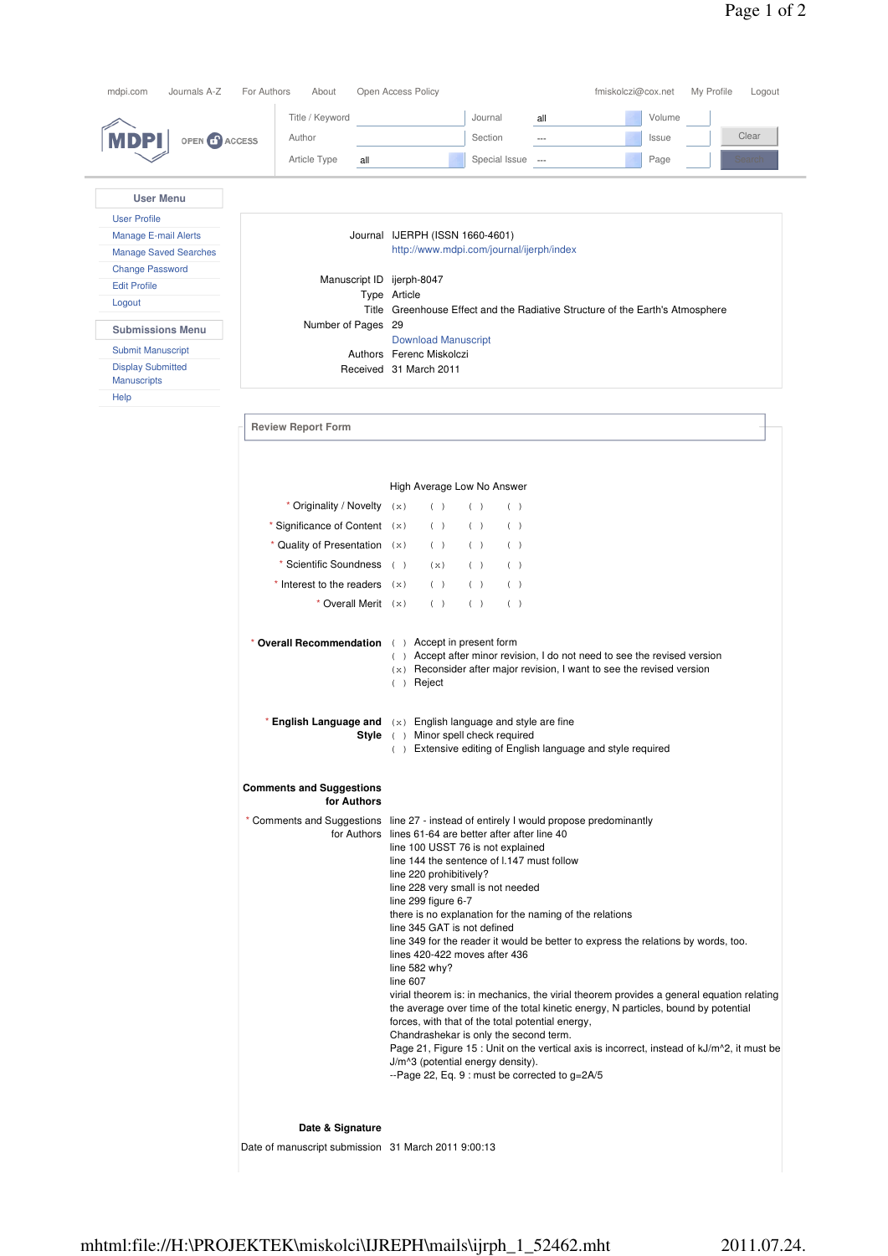|                              | Title / Keyword                                     | Journal<br>Volume<br>all                                                                                                                |
|------------------------------|-----------------------------------------------------|-----------------------------------------------------------------------------------------------------------------------------------------|
| OPEN CO ACCESS<br>MDPI       | Author                                              | Clear<br>Section<br>Issue<br>$\overline{\phantom{a}}$                                                                                   |
|                              |                                                     |                                                                                                                                         |
|                              | Article Type<br>all                                 | Special Issue<br>Page<br>Search<br>$\overline{\phantom{a}}$                                                                             |
| <b>User Menu</b>             |                                                     |                                                                                                                                         |
|                              |                                                     |                                                                                                                                         |
| <b>User Profile</b>          |                                                     |                                                                                                                                         |
| <b>Manage E-mail Alerts</b>  |                                                     | Journal IJERPH (ISSN 1660-4601)                                                                                                         |
| <b>Manage Saved Searches</b> |                                                     | http://www.mdpi.com/journal/ijerph/index                                                                                                |
| <b>Change Password</b>       | Manuscript ID ijerph-8047                           |                                                                                                                                         |
| <b>Edit Profile</b>          |                                                     | Type Article                                                                                                                            |
| Logout                       |                                                     | Title Greenhouse Effect and the Radiative Structure of the Earth's Atmosphere                                                           |
| <b>Submissions Menu</b>      | Number of Pages 29                                  |                                                                                                                                         |
| <b>Submit Manuscript</b>     |                                                     | <b>Download Manuscript</b>                                                                                                              |
| <b>Display Submitted</b>     |                                                     | Authors Ferenc Miskolczi<br>Received 31 March 2011                                                                                      |
| <b>Manuscripts</b>           |                                                     |                                                                                                                                         |
| Help                         |                                                     |                                                                                                                                         |
|                              |                                                     |                                                                                                                                         |
|                              | <b>Review Report Form</b>                           |                                                                                                                                         |
|                              |                                                     |                                                                                                                                         |
|                              |                                                     |                                                                                                                                         |
|                              |                                                     | High Average Low No Answer                                                                                                              |
|                              | * Originality / Novelty $(x)$                       | ( )<br>( )<br>( )                                                                                                                       |
|                              | * Significance of Content (x)                       | ( )<br>( )<br>( )                                                                                                                       |
|                              | * Quality of Presentation $(x)$                     | ( )<br>( )<br>( )                                                                                                                       |
|                              |                                                     |                                                                                                                                         |
|                              | * Scientific Soundness                              | (<br>( )<br>( )<br>(x)                                                                                                                  |
|                              | * Interest to the readers $(x)$                     | ( )<br>( )<br>( )                                                                                                                       |
|                              | * Overall Merit $(x)$                               | ( )<br>( )<br>( )                                                                                                                       |
|                              |                                                     |                                                                                                                                         |
|                              | * Overall Recommendation ()                         | Accept in present form<br>() Accept after minor revision, I do not need to see the revised version                                      |
|                              |                                                     | $(x)$ Reconsider after major revision, I want to see the revised version                                                                |
|                              |                                                     | $( )$ Reject                                                                                                                            |
|                              |                                                     |                                                                                                                                         |
|                              |                                                     | <b>English Language and</b> $(x)$ English language and style are fine<br>Style ( ) Minor spell check required                           |
|                              |                                                     | () Extensive editing of English language and style required                                                                             |
|                              |                                                     |                                                                                                                                         |
|                              | <b>Comments and Suggestions</b>                     |                                                                                                                                         |
|                              | for Authors                                         |                                                                                                                                         |
|                              |                                                     | * Comments and Suggestions line 27 - instead of entirely I would propose predominantly                                                  |
|                              |                                                     | for Authors lines 61-64 are better after after line 40<br>line 100 USST 76 is not explained                                             |
|                              |                                                     | line 144 the sentence of 1.147 must follow                                                                                              |
|                              |                                                     | line 220 prohibitively?                                                                                                                 |
|                              |                                                     | line 228 very small is not needed                                                                                                       |
|                              |                                                     | line 299 figure 6-7<br>there is no explanation for the naming of the relations                                                          |
|                              |                                                     | line 345 GAT is not defined                                                                                                             |
|                              |                                                     | line 349 for the reader it would be better to express the relations by words, too.                                                      |
|                              |                                                     | lines 420-422 moves after 436                                                                                                           |
|                              |                                                     | line 582 why?<br>line 607                                                                                                               |
|                              |                                                     | virial theorem is: in mechanics, the virial theorem provides a general equation relating                                                |
|                              |                                                     | the average over time of the total kinetic energy, N particles, bound by potential                                                      |
|                              |                                                     | forces, with that of the total potential energy,                                                                                        |
|                              |                                                     | Chandrashekar is only the second term.<br>Page 21, Figure 15 : Unit on the vertical axis is incorrect, instead of $kJ/m^2$ , it must be |
|                              |                                                     | J/m^3 (potential energy density).                                                                                                       |
|                              |                                                     | --Page 22, Eq. 9 : must be corrected to g=2A/5                                                                                          |
|                              |                                                     |                                                                                                                                         |
|                              | Date & Signature                                    |                                                                                                                                         |
|                              | Date of manuscript submission 31 March 2011 9:00:13 |                                                                                                                                         |
|                              |                                                     |                                                                                                                                         |